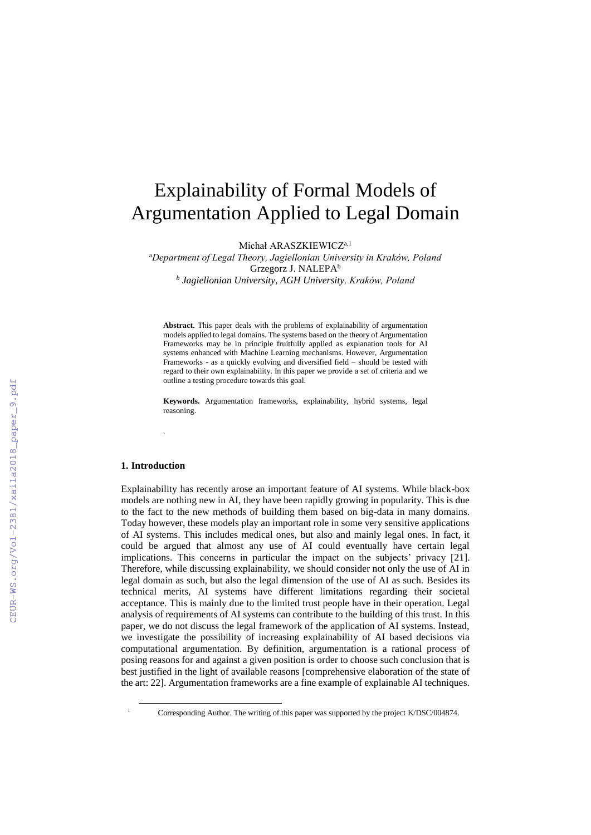# Explainability of Formal Models of Argumentation Applied to Legal Domain

Michał ARASZKIEWICZ<sup>a,1</sup>

<sup>a</sup>*Department of Legal Theory, Jagiellonian University in Kraków, Poland* Grzegorz J. NALEPA<sup>b</sup> *b Jagiellonian University, AGH University, Kraków, Poland*

**Abstract.** This paper deals with the problems of explainability of argumentation models applied to legal domains. The systems based on the theory of Argumentation Frameworks may be in principle fruitfully applied as explanation tools for AI systems enhanced with Machine Learning mechanisms. However, Argumentation Frameworks - as a quickly evolving and diversified field – should be tested with regard to their own explainability. In this paper we provide a set of criteria and we outline a testing procedure towards this goal.

**Keywords.** Argumentation frameworks, explainability, hybrid systems, legal reasoning.

### **1. Introduction**

-

.

Explainability has recently arose an important feature of AI systems. While black-box models are nothing new in AI, they have been rapidly growing in popularity. This is due to the fact to the new methods of building them based on big-data in many domains. Today however, these models play an important role in some very sensitive applications of AI systems. This includes medical ones, but also and mainly legal ones. In fact, it could be argued that almost any use of AI could eventually have certain legal implications. This concerns in particular the impact on the subjects' privacy [21]. Therefore, while discussing explainability, we should consider not only the use of AI in legal domain as such, but also the legal dimension of the use of AI as such. Besides its technical merits, AI systems have different limitations regarding their societal acceptance. This is mainly due to the limited trust people have in their operation. Legal analysis of requirements of AI systems can contribute to the building of this trust. In this paper, we do not discuss the legal framework of the application of AI systems. Instead, we investigate the possibility of increasing explainability of AI based decisions via computational argumentation. By definition, argumentation is a rational process of posing reasons for and against a given position is order to choose such conclusion that is best justified in the light of available reasons [comprehensive elaboration of the state of the art: 22]. Argumentation frameworks are a fine example of explainable AI techniques.

<sup>&</sup>lt;sup>1</sup> Corresponding Author. The writing of this paper was supported by the project K/DSC/004874.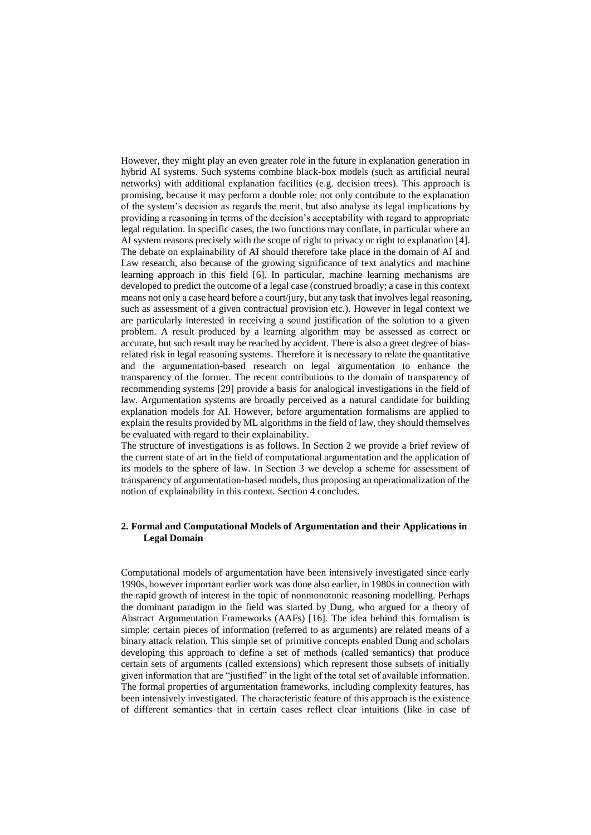However, they might play an even greater role in the future in explanation generation in hybrid AI systems. Such systems combine black-box models (such as artificial neural networks) with additional explanation facilities (e.g. decision trees). This approach is promising, because it may perform a double role: not only contribute to the explanation of the system's decision as regards the merit, but also analyse its legal implications by providing a reasoning in terms of the decision's acceptability with regard to appropriate legal regulation. In specific cases, the two functions may conflate, in particular where an AI system reasons precisely with the scope of right to privacy or right to explanation [4]. The debate on explainability of AI should therefore take place in the domain of AI and Law research, also because of the growing significance of text analytics and machine learning approach in this field [6]. In particular, machine learning mechanisms are developed to predict the outcome of a legal case (construed broadly; a case in this context means not only a case heard before a court/jury, but any task that involves legal reasoning, such as assessment of a given contractual provision etc.). However in legal context we are particularly interested in receiving a sound justification of the solution to a given problem. A result produced by a learning algorithm may be assessed as correct or accurate, but such result may be reached by accident. There is also a greet degree of biasrelated risk in legal reasoning systems. Therefore it is necessary to relate the quantitative and the argumentation-based research on legal argumentation to enhance the transparency of the former. The recent contributions to the domain of transparency of recommending systems [29] provide a basis for analogical investigations in the field of law. Argumentation systems are broadly perceived as a natural candidate for building explanation models for AI. However, before argumentation formalisms are applied to explain the results provided by ML algorithms in the field of law, they should themselves be evaluated with regard to their explainability.

The structure of investigations is as follows. In Section 2 we provide a brief review of the current state of art in the field of computational argumentation and the application of its models to the sphere of law. In Section 3 we develop a scheme for assessment of transparency of argumentation-based models, thus proposing an operationalization of the notion of explainability in this context. Section 4 concludes.

## **2. Formal and Computational Models of Argumentation and their Applications in Legal Domain**

Computational models of argumentation have been intensively investigated since early 1990s, however important earlier work was done also earlier, in 1980s in connection with the rapid growth of interest in the topic of nonmonotonic reasoning modelling. Perhaps the dominant paradigm in the field was started by Dung, who argued for a theory of Abstract Argumentation Frameworks (AAFs) [16]. The idea behind this formalism is simple: certain pieces of information (referred to as arguments) are related means of a binary attack relation. This simple set of primitive concepts enabled Dung and scholars developing this approach to define a set of methods (called semantics) that produce certain sets of arguments (called extensions) which represent those subsets of initially given information that are "justified" in the light of the total set of available information. The formal properties of argumentation frameworks, including complexity features, has been intensively investigated. The characteristic feature of this approach is the existence of different semantics that in certain cases reflect clear intuitions (like in case of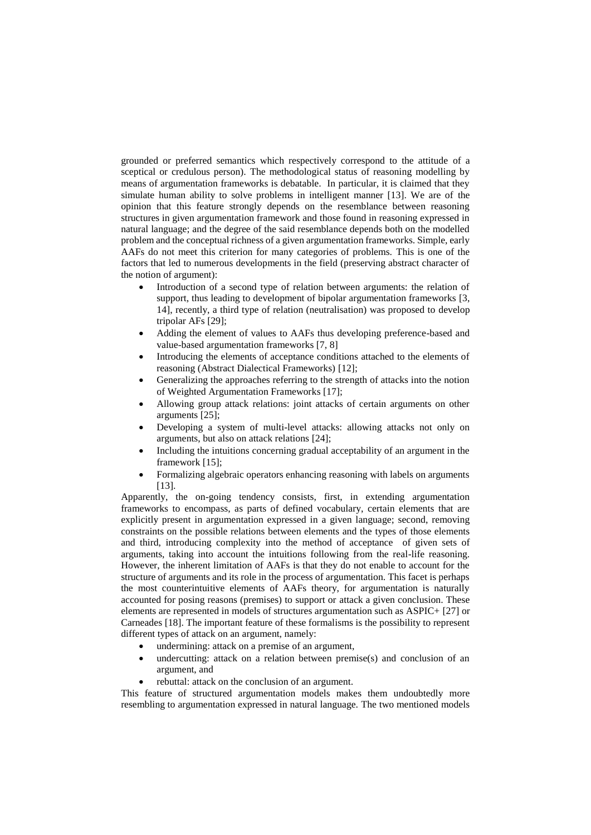grounded or preferred semantics which respectively correspond to the attitude of a sceptical or credulous person). The methodological status of reasoning modelling by means of argumentation frameworks is debatable. In particular, it is claimed that they simulate human ability to solve problems in intelligent manner [13]. We are of the opinion that this feature strongly depends on the resemblance between reasoning structures in given argumentation framework and those found in reasoning expressed in natural language; and the degree of the said resemblance depends both on the modelled problem and the conceptual richness of a given argumentation frameworks. Simple, early AAFs do not meet this criterion for many categories of problems. This is one of the factors that led to numerous developments in the field (preserving abstract character of the notion of argument):

- Introduction of a second type of relation between arguments: the relation of support, thus leading to development of bipolar argumentation frameworks [3, 14], recently, a third type of relation (neutralisation) was proposed to develop tripolar AFs [29];
- Adding the element of values to AAFs thus developing preference-based and value-based argumentation frameworks [7, 8]
- Introducing the elements of acceptance conditions attached to the elements of reasoning (Abstract Dialectical Frameworks) [12];
- Generalizing the approaches referring to the strength of attacks into the notion of Weighted Argumentation Frameworks [17];
- Allowing group attack relations: joint attacks of certain arguments on other arguments [25];
- Developing a system of multi-level attacks: allowing attacks not only on arguments, but also on attack relations [24];
- Including the intuitions concerning gradual acceptability of an argument in the framework [15];
- Formalizing algebraic operators enhancing reasoning with labels on arguments [13].

Apparently, the on-going tendency consists, first, in extending argumentation frameworks to encompass, as parts of defined vocabulary, certain elements that are explicitly present in argumentation expressed in a given language; second, removing constraints on the possible relations between elements and the types of those elements and third, introducing complexity into the method of acceptance of given sets of arguments, taking into account the intuitions following from the real-life reasoning. However, the inherent limitation of AAFs is that they do not enable to account for the structure of arguments and its role in the process of argumentation. This facet is perhaps the most counterintuitive elements of AAFs theory, for argumentation is naturally accounted for posing reasons (premises) to support or attack a given conclusion. These elements are represented in models of structures argumentation such as ASPIC+ [27] or Carneades [18]. The important feature of these formalisms is the possibility to represent different types of attack on an argument, namely:

- undermining: attack on a premise of an argument,
- undercutting: attack on a relation between premise(s) and conclusion of an argument, and
- rebuttal: attack on the conclusion of an argument.

This feature of structured argumentation models makes them undoubtedly more resembling to argumentation expressed in natural language. The two mentioned models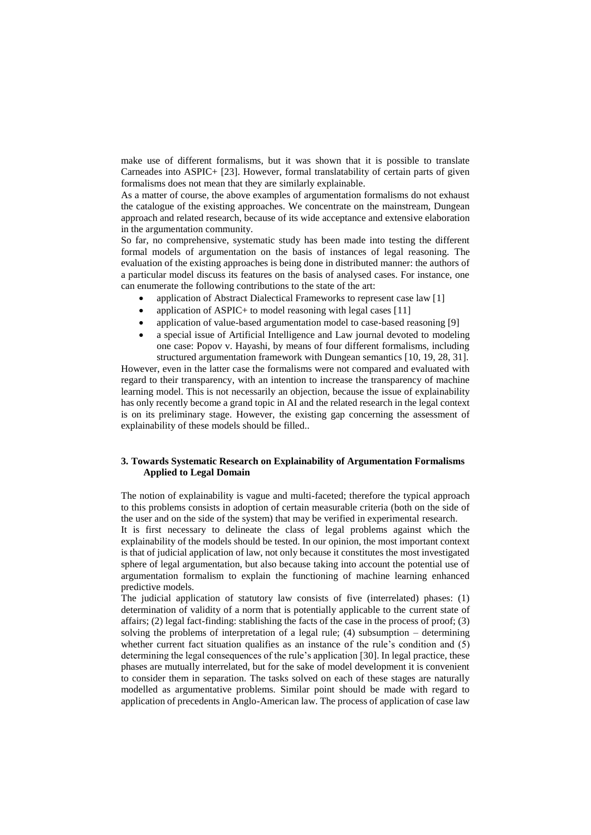make use of different formalisms, but it was shown that it is possible to translate Carneades into ASPIC+ [23]. However, formal translatability of certain parts of given formalisms does not mean that they are similarly explainable.

As a matter of course, the above examples of argumentation formalisms do not exhaust the catalogue of the existing approaches. We concentrate on the mainstream, Dungean approach and related research, because of its wide acceptance and extensive elaboration in the argumentation community.

So far, no comprehensive, systematic study has been made into testing the different formal models of argumentation on the basis of instances of legal reasoning. The evaluation of the existing approaches is being done in distributed manner: the authors of a particular model discuss its features on the basis of analysed cases. For instance, one can enumerate the following contributions to the state of the art:

- application of Abstract Dialectical Frameworks to represent case law [1]
- application of ASPIC+ to model reasoning with legal cases  $[11]$
- application of value-based argumentation model to case-based reasoning [9]
- a special issue of Artificial Intelligence and Law journal devoted to modeling one case: Popov v. Hayashi, by means of four different formalisms, including structured argumentation framework with Dungean semantics [10, 19, 28, 31].

However, even in the latter case the formalisms were not compared and evaluated with regard to their transparency, with an intention to increase the transparency of machine learning model. This is not necessarily an objection, because the issue of explainability has only recently become a grand topic in AI and the related research in the legal context is on its preliminary stage. However, the existing gap concerning the assessment of explainability of these models should be filled..

## **3. Towards Systematic Research on Explainability of Argumentation Formalisms Applied to Legal Domain**

The notion of explainability is vague and multi-faceted; therefore the typical approach to this problems consists in adoption of certain measurable criteria (both on the side of the user and on the side of the system) that may be verified in experimental research.

It is first necessary to delineate the class of legal problems against which the explainability of the models should be tested. In our opinion, the most important context is that of judicial application of law, not only because it constitutes the most investigated sphere of legal argumentation, but also because taking into account the potential use of argumentation formalism to explain the functioning of machine learning enhanced predictive models.

The judicial application of statutory law consists of five (interrelated) phases: (1) determination of validity of a norm that is potentially applicable to the current state of affairs; (2) legal fact-finding: stablishing the facts of the case in the process of proof; (3) solving the problems of interpretation of a legal rule; (4) subsumption – determining whether current fact situation qualifies as an instance of the rule's condition and (5) determining the legal consequences of the rule's application [30]. In legal practice, these phases are mutually interrelated, but for the sake of model development it is convenient to consider them in separation. The tasks solved on each of these stages are naturally modelled as argumentative problems. Similar point should be made with regard to application of precedents in Anglo-American law. The process of application of case law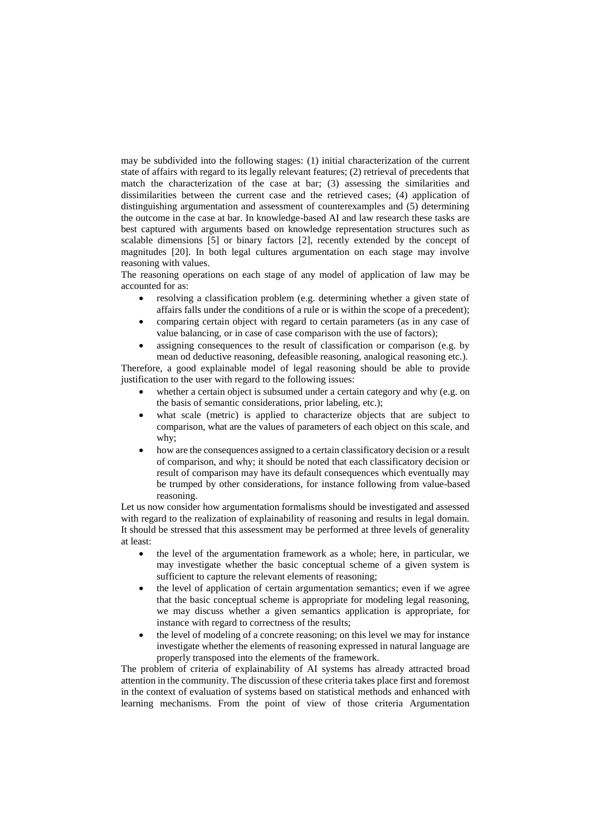may be subdivided into the following stages: (1) initial characterization of the current state of affairs with regard to its legally relevant features; (2) retrieval of precedents that match the characterization of the case at bar; (3) assessing the similarities and dissimilarities between the current case and the retrieved cases; (4) application of distinguishing argumentation and assessment of counterexamples and (5) determining the outcome in the case at bar. In knowledge-based AI and law research these tasks are best captured with arguments based on knowledge representation structures such as scalable dimensions [5] or binary factors [2], recently extended by the concept of magnitudes [20]. In both legal cultures argumentation on each stage may involve reasoning with values.

The reasoning operations on each stage of any model of application of law may be accounted for as:

- resolving a classification problem (e.g. determining whether a given state of affairs falls under the conditions of a rule or is within the scope of a precedent);
- comparing certain object with regard to certain parameters (as in any case of value balancing, or in case of case comparison with the use of factors);
- assigning consequences to the result of classification or comparison (e.g. by mean od deductive reasoning, defeasible reasoning, analogical reasoning etc.).

Therefore, a good explainable model of legal reasoning should be able to provide justification to the user with regard to the following issues:

- whether a certain object is subsumed under a certain category and why (e.g. on the basis of semantic considerations, prior labeling, etc.);
- what scale (metric) is applied to characterize objects that are subject to comparison, what are the values of parameters of each object on this scale, and why;
- how are the consequences assigned to a certain classificatory decision or a result of comparison, and why; it should be noted that each classificatory decision or result of comparison may have its default consequences which eventually may be trumped by other considerations, for instance following from value-based reasoning.

Let us now consider how argumentation formalisms should be investigated and assessed with regard to the realization of explainability of reasoning and results in legal domain. It should be stressed that this assessment may be performed at three levels of generality at least:

- the level of the argumentation framework as a whole; here, in particular, we may investigate whether the basic conceptual scheme of a given system is sufficient to capture the relevant elements of reasoning;
- the level of application of certain argumentation semantics; even if we agree that the basic conceptual scheme is appropriate for modeling legal reasoning, we may discuss whether a given semantics application is appropriate, for instance with regard to correctness of the results;
- the level of modeling of a concrete reasoning; on this level we may for instance investigate whether the elements of reasoning expressed in natural language are properly transposed into the elements of the framework.

The problem of criteria of explainability of AI systems has already attracted broad attention in the community. The discussion of these criteria takes place first and foremost in the context of evaluation of systems based on statistical methods and enhanced with learning mechanisms. From the point of view of those criteria Argumentation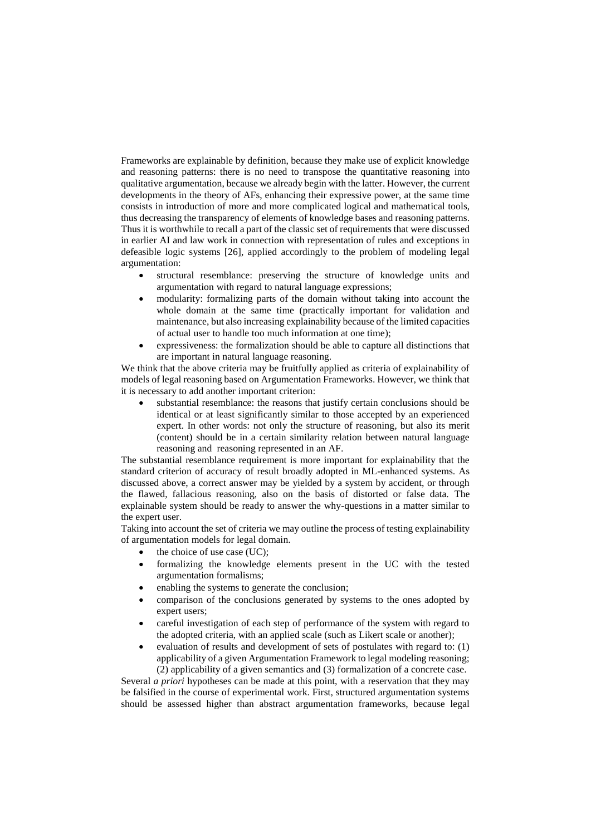Frameworks are explainable by definition, because they make use of explicit knowledge and reasoning patterns: there is no need to transpose the quantitative reasoning into qualitative argumentation, because we already begin with the latter. However, the current developments in the theory of AFs, enhancing their expressive power, at the same time consists in introduction of more and more complicated logical and mathematical tools, thus decreasing the transparency of elements of knowledge bases and reasoning patterns. Thus it is worthwhile to recall a part of the classic set of requirements that were discussed in earlier AI and law work in connection with representation of rules and exceptions in defeasible logic systems [26], applied accordingly to the problem of modeling legal argumentation:

- structural resemblance: preserving the structure of knowledge units and argumentation with regard to natural language expressions;
- modularity: formalizing parts of the domain without taking into account the whole domain at the same time (practically important for validation and maintenance, but also increasing explainability because of the limited capacities of actual user to handle too much information at one time);
- expressiveness: the formalization should be able to capture all distinctions that are important in natural language reasoning.

We think that the above criteria may be fruitfully applied as criteria of explainability of models of legal reasoning based on Argumentation Frameworks. However, we think that it is necessary to add another important criterion:

substantial resemblance: the reasons that justify certain conclusions should be identical or at least significantly similar to those accepted by an experienced expert. In other words: not only the structure of reasoning, but also its merit (content) should be in a certain similarity relation between natural language reasoning and reasoning represented in an AF.

The substantial resemblance requirement is more important for explainability that the standard criterion of accuracy of result broadly adopted in ML-enhanced systems. As discussed above, a correct answer may be yielded by a system by accident, or through the flawed, fallacious reasoning, also on the basis of distorted or false data. The explainable system should be ready to answer the why-questions in a matter similar to the expert user.

Taking into account the set of criteria we may outline the process of testing explainability of argumentation models for legal domain.

- the choice of use case (UC);
- formalizing the knowledge elements present in the UC with the tested argumentation formalisms;
- enabling the systems to generate the conclusion;
- comparison of the conclusions generated by systems to the ones adopted by expert users;
- careful investigation of each step of performance of the system with regard to the adopted criteria, with an applied scale (such as Likert scale or another);
- evaluation of results and development of sets of postulates with regard to: (1) applicability of a given Argumentation Framework to legal modeling reasoning; (2) applicability of a given semantics and (3) formalization of a concrete case.

Several *a priori* hypotheses can be made at this point, with a reservation that they may be falsified in the course of experimental work. First, structured argumentation systems should be assessed higher than abstract argumentation frameworks, because legal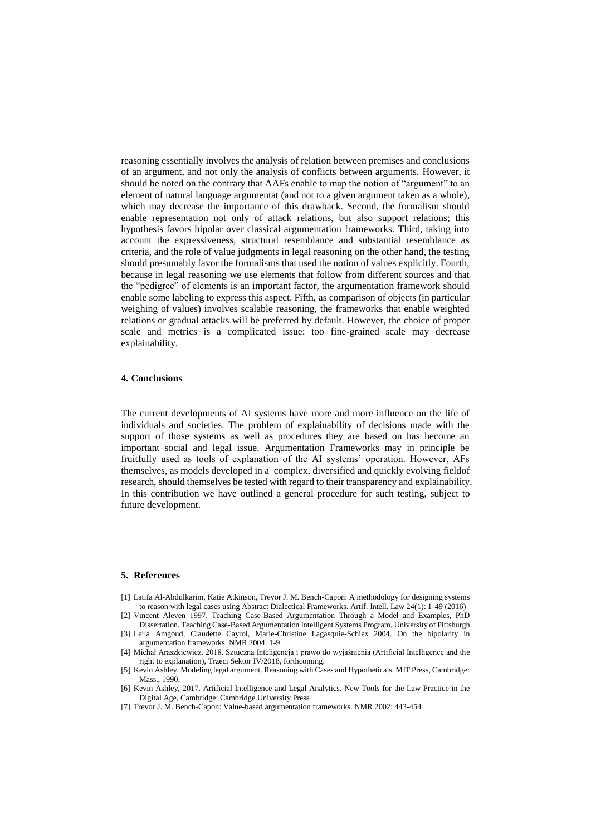reasoning essentially involves the analysis of relation between premises and conclusions of an argument, and not only the analysis of conflicts between arguments. However, it should be noted on the contrary that AAFs enable to map the notion of "argument" to an element of natural language argumentat (and not to a given argument taken as a whole), which may decrease the importance of this drawback. Second, the formalism should enable representation not only of attack relations, but also support relations; this hypothesis favors bipolar over classical argumentation frameworks. Third, taking into account the expressiveness, structural resemblance and substantial resemblance as criteria, and the role of value judgments in legal reasoning on the other hand, the testing should presumably favor the formalisms that used the notion of values explicitly. Fourth, because in legal reasoning we use elements that follow from different sources and that the "pedigree" of elements is an important factor, the argumentation framework should enable some labeling to express this aspect. Fifth, as comparison of objects (in particular weighing of values) involves scalable reasoning, the frameworks that enable weighted relations or gradual attacks will be preferred by default. However, the choice of proper scale and metrics is a complicated issue: too fine-grained scale may decrease explainability.

#### **4. Conclusions**

The current developments of AI systems have more and more influence on the life of individuals and societies. The problem of explainability of decisions made with the support of those systems as well as procedures they are based on has become an important social and legal issue. Argumentation Frameworks may in principle be fruitfully used as tools of explanation of the AI systems' operation. However, AFs themselves, as models developed in a complex, diversified and quickly evolving fieldof research, should themselves be tested with regard to their transparency and explainability. In this contribution we have outlined a general procedure for such testing, subject to future development.

#### **5. References**

- [1] Latifa Al-Abdulkarim, Katie Atkinson, Trevor J. M. Bench-Capon: A methodology for designing systems to reason with legal cases using Abstract Dialectical Frameworks. Artif. Intell. Law 24(1): 1-49 (2016)
- [2] Vincent Aleven 1997. Teaching Case-Based Argumentation Through a Model and Examples, PhD Dissertation, Teaching Case-Based Argumentation Intelligent Systems Program, University of Pittsburgh
- [3] Leila Amgoud, Claudette Cayrol, Marie-Christine Lagasquie-Schiex 2004. On the bipolarity in argumentation frameworks. NMR 2004: 1-9
- [4] Michał Araszkiewicz. 2018. Sztuczna Inteligencja i prawo do wyjaśnienia (Artificial Intelligence and the right to explanation), Trzeci Sektor IV/2018, forthcoming.
- [5] Kevin Ashley. Modeling legal argument. Reasoning with Cases and Hypotheticals. MIT Press, Cambridge: Mass., 1990.
- [6] Kevin Ashley, 2017. Artificial Intelligence and Legal Analytics. New Tools for the Law Practice in the Digital Age, Cambridge: Cambridge University Press
- [7] Trevor J. M. Bench-Capon: Value-based argumentation frameworks. NMR 2002: 443-454